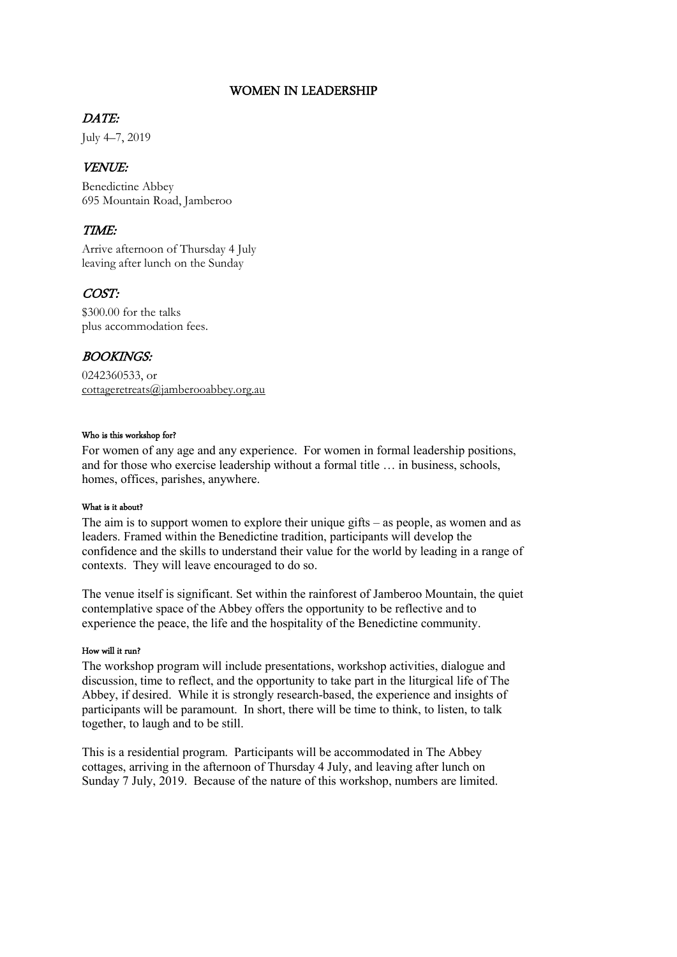#### WOMEN IN LEADERSHIP

#### DATE:

July 4–7, 2019

### VENUE:

Benedictine Abbey 695 Mountain Road, Jamberoo

## TIME:

Arrive afternoon of Thursday 4 July leaving after lunch on the Sunday

# COST:

\$300.00 for the talks plus accommodation fees.

## BOOKINGS:

0242360533, or [cottageretreats@jamberooabbey.org.au](mailto:cottageretreats@jamberooabbey.org.au)

#### Who is this workshop for?

For women of any age and any experience. For women in formal leadership positions, and for those who exercise leadership without a formal title … in business, schools, homes, offices, parishes, anywhere.

#### What is it about?

The aim is to support women to explore their unique gifts – as people, as women and as leaders. Framed within the Benedictine tradition, participants will develop the confidence and the skills to understand their value for the world by leading in a range of contexts. They will leave encouraged to do so.

The venue itself is significant. Set within the rainforest of Jamberoo Mountain, the quiet contemplative space of the Abbey offers the opportunity to be reflective and to experience the peace, the life and the hospitality of the Benedictine community.

#### How will it run?

The workshop program will include presentations, workshop activities, dialogue and discussion, time to reflect, and the opportunity to take part in the liturgical life of The Abbey, if desired. While it is strongly research-based, the experience and insights of participants will be paramount. In short, there will be time to think, to listen, to talk together, to laugh and to be still.

This is a residential program. Participants will be accommodated in The Abbey cottages, arriving in the afternoon of Thursday 4 July, and leaving after lunch on Sunday 7 July, 2019. Because of the nature of this workshop, numbers are limited.